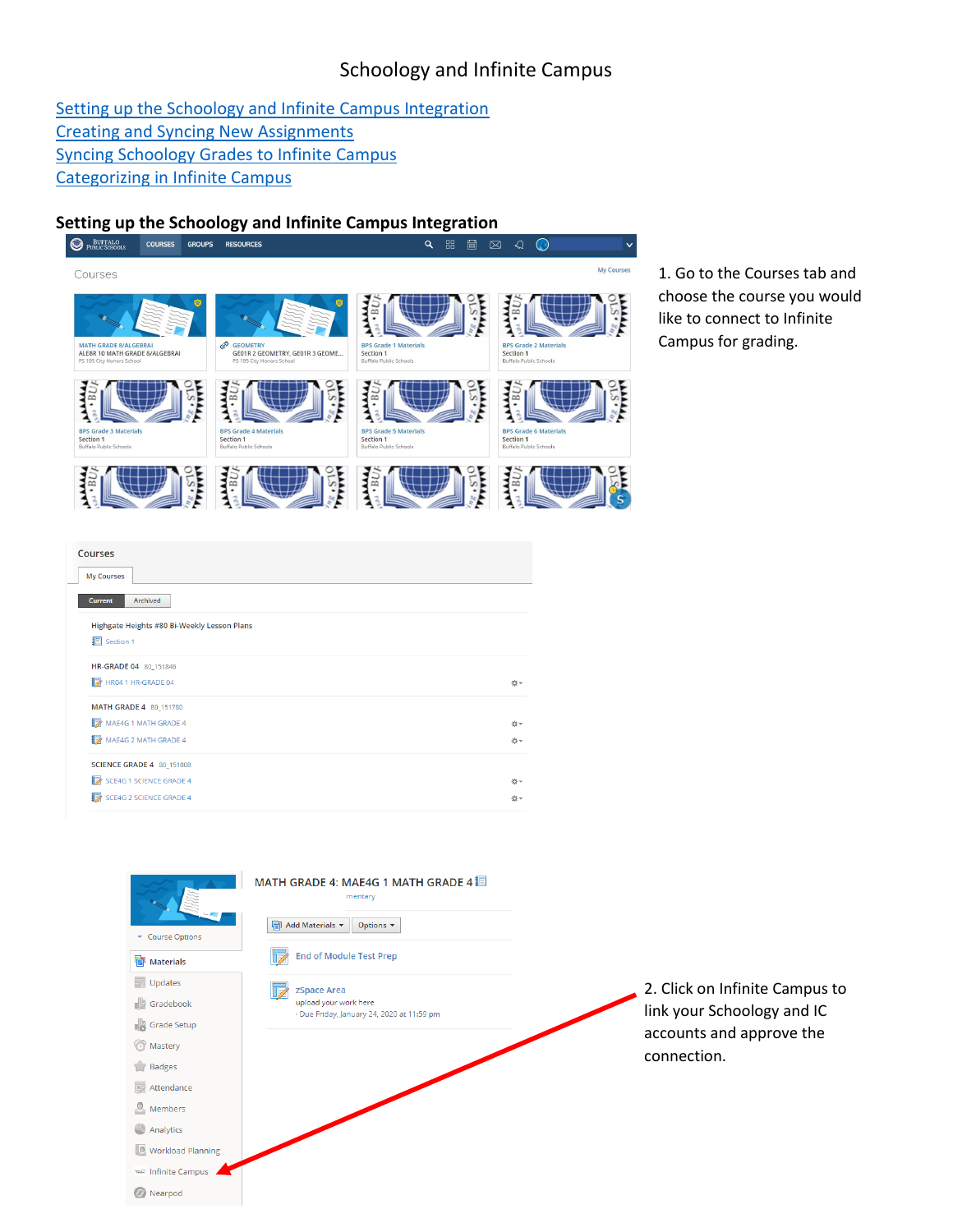# Schoology and Infinite Campus

[Setting up the Schoology and Infinite Campus Integration](#page-0-0) [Creating and Syncing New Assignments](#page-1-0) [Syncing Schoology Grades to Infinite Campus](#page-1-1) [Categorizing in Infinite Campus](#page-2-0)

<span id="page-0-0"></span>

1. Go to the Courses tab and choose the course you would like to connect to Infinite Campus for grading.

| <b>Courses</b><br><b>My Courses</b>         |    |
|---------------------------------------------|----|
| Archived<br>Current                         |    |
| Highgate Heights #80 Bi-Weekly Lesson Plans |    |
| <b>I</b> Section 1                          |    |
| HR-GRADE 04 80_151846                       |    |
| HR04 1 HR-GRADE 04                          | 春天 |
| MATH GRADE 4 80_151780                      |    |
| MAE4G 1 MATH GRADE 4                        | 春天 |
| MAE4G 2 MATH GRADE 4                        | 益。 |
| <b>SCIENCE GRADE 4 80_151808</b>            |    |
| SCE4G 1 SCIENCE GRADE 4                     | ☆→ |
| 脖<br><b>SCE4G 2 SCIENCE GRADE 4</b>         | 益。 |

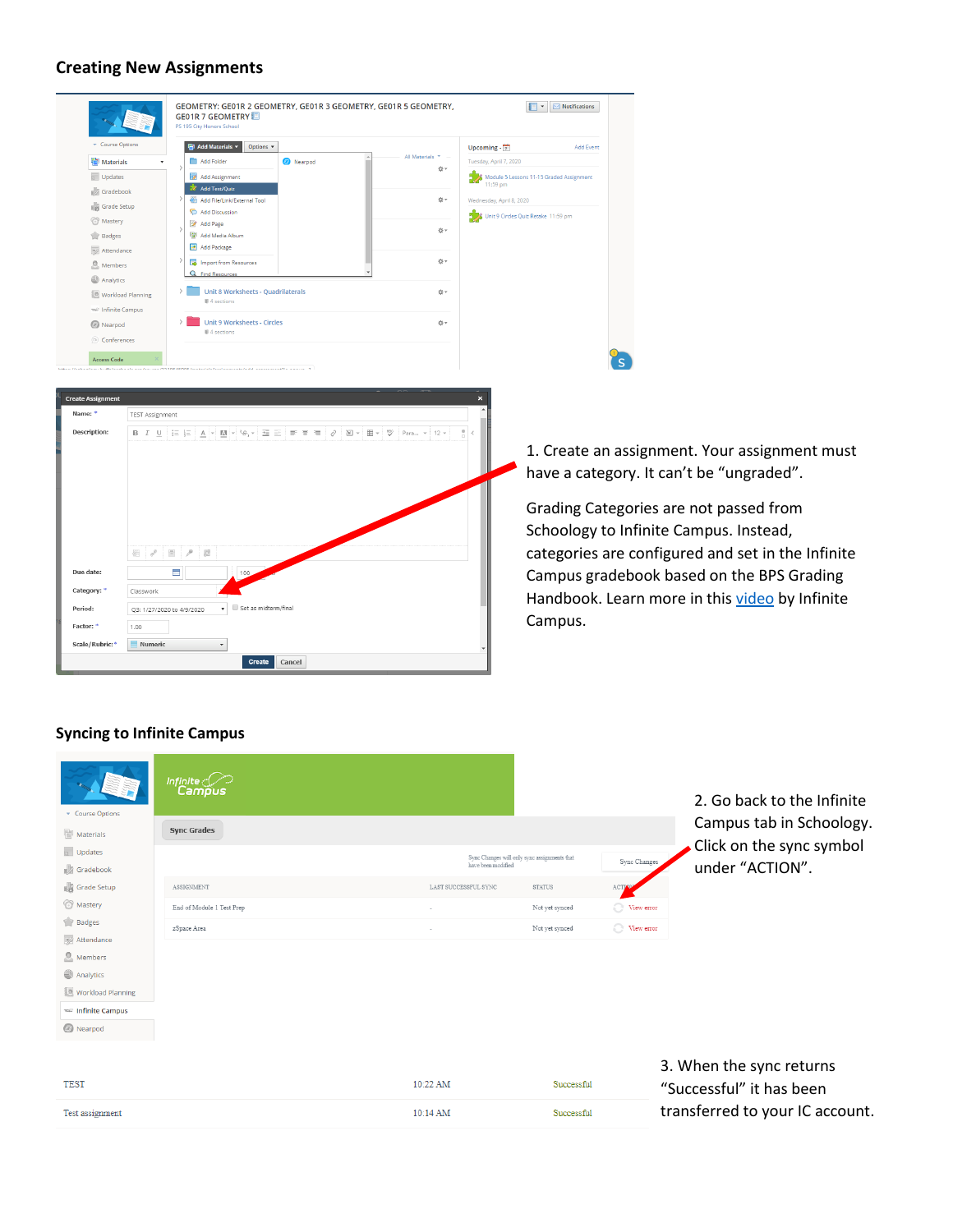#### <span id="page-1-0"></span>**Creating New Assignments**

|                          |                           | GEOMETRY: GE01R 2 GEOMETRY, GE01R 3 GEOMETRY, GE01R 5 GEOMETRY,<br><b>GEO1R 7 GEOMETRY</b><br>PS 195 City Honors School |                                 | $\boxed{\blacksquare}$ $\blacktriangleright$ Notifications |                                                   |
|--------------------------|---------------------------|-------------------------------------------------------------------------------------------------------------------------|---------------------------------|------------------------------------------------------------|---------------------------------------------------|
|                          | Course Options            | <b>Tal Add Materials *</b><br>Options $\star$                                                                           | Upcoming $\cdot$ $\overline{7}$ | <b>Add Event</b>                                           |                                                   |
|                          | <b>Materials</b>          | All Materials<br>Add Folder<br>Nearpod                                                                                  |                                 | Tuesday, April 7, 2020                                     |                                                   |
|                          | Updates                   | ☆▼<br>Add Assignment                                                                                                    |                                 | Module 5 Lessons 11-15 Graded Assignment                   |                                                   |
|                          | Gradebook                 | <b>22</b> Add Test/Quiz                                                                                                 |                                 | 11:59 pm                                                   |                                                   |
|                          | Grade Setup               | ☆→<br>Add File/Link/External Tool                                                                                       |                                 | Wednesday, April 8, 2020                                   |                                                   |
|                          | Mastery                   | Add Discussion<br>Add Page                                                                                              |                                 | S & Unit 9 Circles Quiz Retake 11:59 pm                    |                                                   |
|                          | Badges                    | ☆→<br>图 Add Media Album                                                                                                 |                                 |                                                            |                                                   |
|                          | Attendance                | Add Package                                                                                                             |                                 |                                                            |                                                   |
|                          | <b>E</b> Members          | ☆→<br>Import from Resources                                                                                             |                                 |                                                            |                                                   |
|                          | Analytics                 | $\bigcap$<br><b>Find Resources</b>                                                                                      |                                 |                                                            |                                                   |
|                          | Workload Planning         | Unit 8 Worksheets - Quadrilaterals<br><b>☆-</b>                                                                         |                                 |                                                            |                                                   |
|                          | mail: Infinite Campus     | # 4 sections                                                                                                            |                                 |                                                            |                                                   |
|                          | <b>B</b> Nearpod          | <b>Unit 9 Worksheets - Circles</b><br>☆→                                                                                |                                 |                                                            |                                                   |
|                          | Conferences               | # 4 sections                                                                                                            |                                 |                                                            |                                                   |
|                          |                           |                                                                                                                         |                                 |                                                            |                                                   |
|                          | <b>Access Code</b>        | 17710E 4EOOE for each electronic coach food of concernment?                                                             |                                 |                                                            |                                                   |
|                          |                           |                                                                                                                         |                                 |                                                            |                                                   |
| <b>Create Assignment</b> |                           |                                                                                                                         |                                 |                                                            |                                                   |
| Name: *                  | <b>TEST Assignment</b>    |                                                                                                                         |                                 |                                                            |                                                   |
|                          |                           |                                                                                                                         |                                 |                                                            |                                                   |
| Description:             |                           |                                                                                                                         | $\frac{1}{2}$ <                 |                                                            |                                                   |
|                          |                           |                                                                                                                         |                                 |                                                            | 1. Create an assignment. Your assignment must     |
|                          |                           |                                                                                                                         |                                 |                                                            |                                                   |
|                          |                           |                                                                                                                         |                                 |                                                            | have a category. It can't be "ungraded".          |
|                          |                           |                                                                                                                         |                                 |                                                            |                                                   |
|                          |                           |                                                                                                                         |                                 |                                                            | Grading Categories are not passed from            |
|                          |                           |                                                                                                                         |                                 |                                                            |                                                   |
|                          |                           |                                                                                                                         |                                 |                                                            | Schoology to Infinite Campus. Instead,            |
|                          | 조금                        | $\equiv$<br>$\mathcal{P}$<br>团                                                                                          |                                 |                                                            | categories are configured and set in the Infinite |
| Due date:                |                           | $\overline{\phantom{a}}$<br>100                                                                                         |                                 |                                                            |                                                   |
| Category:                |                           |                                                                                                                         |                                 |                                                            | Campus gradebook based on the BPS Grading         |
|                          | Classwork                 |                                                                                                                         |                                 |                                                            | Handbook. Learn more in this video by Infinite    |
| Period:                  | Q3: 1/27/2020 to 4/9/2020 | Set as midterm/final                                                                                                    |                                 | Campus.                                                    |                                                   |
| Factor:                  | 1.00                      |                                                                                                                         |                                 |                                                            |                                                   |
| Scale/Rubric:            | Numeric                   |                                                                                                                         |                                 |                                                            |                                                   |
|                          |                           | Create<br>Cancel                                                                                                        |                                 |                                                            |                                                   |

## <span id="page-1-1"></span>**Syncing to Infinite Campus**

| Course Options                 | Infinite <i>C</i>         |                      |                                              |              | 2. Go back to the Infinite                            |
|--------------------------------|---------------------------|----------------------|----------------------------------------------|--------------|-------------------------------------------------------|
| Materials                      | <b>Sync Grades</b>        |                      |                                              |              | Campus tab in Schoology.                              |
| Updates<br>Gradebook           |                           | have been modified   | Sync Changes will only sync assignments that | Sync Changes | Click on the sync symbol<br>under "ACTION".           |
| Grade Setup                    | ASSIGNMENT                | LAST SUCCESSFUL SYNC | <b>STATUS</b>                                | ACTION       |                                                       |
| <b>&amp;</b> Mastery           | End of Module 1 Test Prep | $\sim$               | Not yet synced                               | View error   |                                                       |
| <b>Badges</b>                  | zSpace Area               | $\sim$               | Not yet synced                               | View error   |                                                       |
| Attendance<br><b>A</b> Members |                           |                      |                                              |              |                                                       |
| Analytics                      |                           |                      |                                              |              |                                                       |
| Workload Planning              |                           |                      |                                              |              |                                                       |
| <b>TOMP Infinite Campus</b>    |                           |                      |                                              |              |                                                       |
| <b>B</b> Nearpod               |                           |                      |                                              |              |                                                       |
|                                |                           |                      |                                              |              | 3. When the sync returns                              |
| <b>TEST</b>                    |                           | 10:22 AM             | Successful                                   |              | $^{\prime\prime}$ Cuccoccful <sup>"</sup> it has hoon |

|                 |          |            | 3. When the sync returns        |
|-----------------|----------|------------|---------------------------------|
| <b>TEST</b>     | 10:22 AM | Successful | "Successful" it has been        |
| Test assignment | 10:14 AM | Successful | transferred to your IC account. |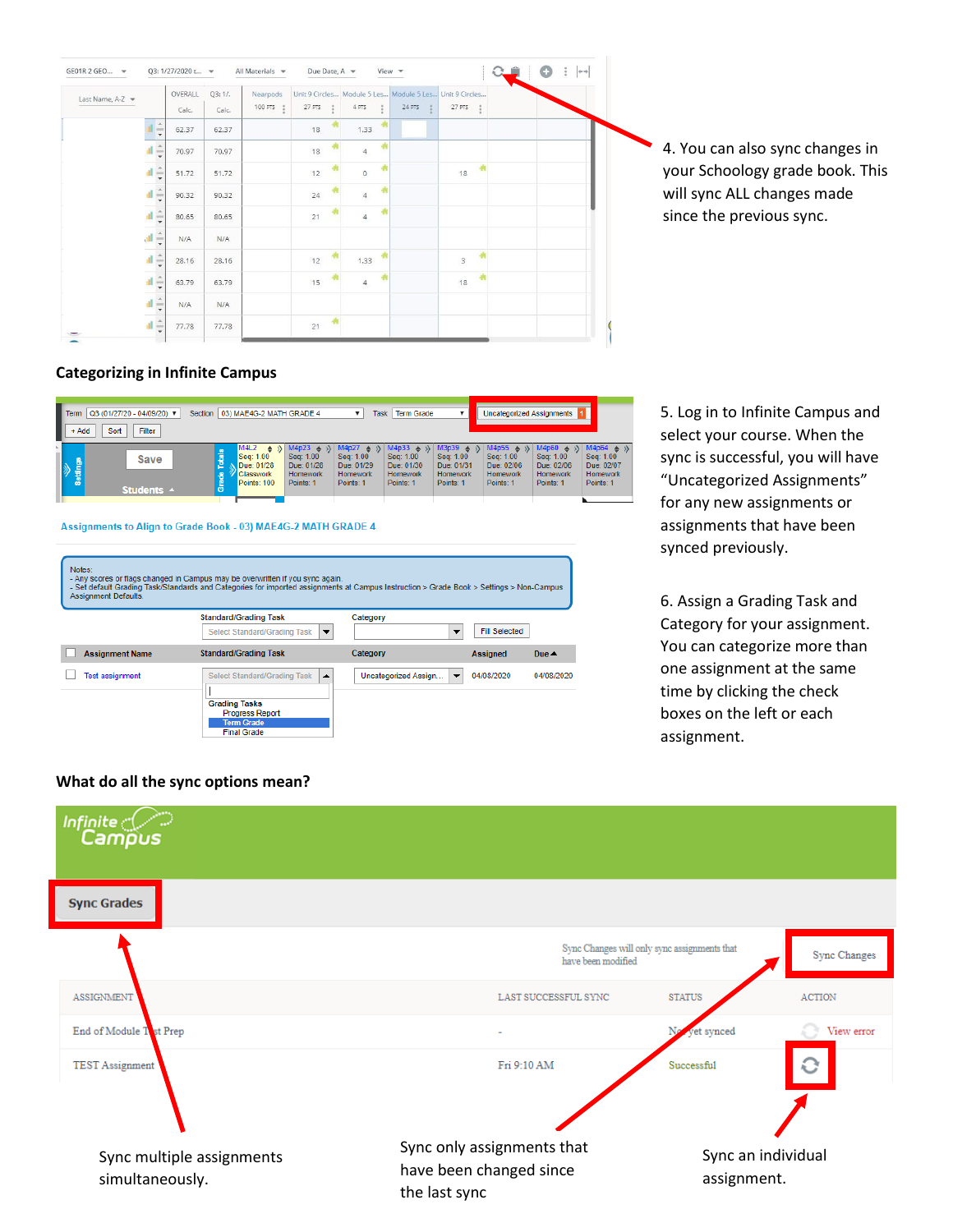| Last Name, A-Z v |                         |                      | OVERALL | Q3:1/. | Nearpods  |        |                |   | Unit 9 Circles Module 5 Les Module 5 Les Unit 9 Circles |                           |  |  |  |
|------------------|-------------------------|----------------------|---------|--------|-----------|--------|----------------|---|---------------------------------------------------------|---------------------------|--|--|--|
|                  |                         |                      | Calc.   | Calc.  | 100 PTS : | 27 PTS | 4 PTS          |   | 24 PTS                                                  | 27 PTS                    |  |  |  |
|                  |                         | ı,                   | 62.37   | 62.37  |           | 18     | 1.33           |   |                                                         |                           |  |  |  |
|                  | al.                     | $\frac{1}{\sqrt{2}}$ | 70.97   | 70.97  |           | 18     | $\overline{4}$ | 喇 |                                                         |                           |  |  |  |
|                  | $\frac{1}{2}$           |                      | 51.72   | 51.72  |           | 12     | $\mathbb O$    |   |                                                         | 18                        |  |  |  |
|                  | af $\frac{\pi}{2}$      |                      | 90.32   | 90.32  |           | 24     | $\overline{4}$ | 嚼 |                                                         |                           |  |  |  |
|                  | $\frac{d}{2}$           |                      | 80.65   | 80.65  |           | 21     | $\overline{4}$ |   |                                                         |                           |  |  |  |
|                  | $\frac{1}{\tau}$        |                      | N/A     | N/A    |           |        |                |   |                                                         |                           |  |  |  |
|                  | $\frac{1}{2}$           |                      | 28.16   | 28.16  |           | 12     | 1.33           |   |                                                         | $\ensuremath{\mathsf{3}}$ |  |  |  |
|                  | al $\frac{1}{\sqrt{2}}$ |                      | 63.79   | 63.79  |           | 15     | $\overline{4}$ |   |                                                         | 18                        |  |  |  |
|                  | $\frac{1}{2}$           |                      | N/A     | N/A    |           |        |                |   |                                                         |                           |  |  |  |
|                  | $\frac{1}{\sqrt{2}}$    |                      | 77.78   | 77.78  |           | 21     |                |   |                                                         |                           |  |  |  |

4. You can also sync changes in your Schoology grade book. This will sync ALL changes made since the previous sync.

#### <span id="page-2-0"></span>**Categorizing in Infinite Campus**

| Q3 (01/27/20 - 04/09/20) ▼<br>$\blacksquare$ Term<br>Filter<br>Sort<br>$+ Add$ | 03) MAE4G-2 MATH GRADE 4<br>Section                                                      | Task                                                                                                                                                                     | <b>Term Grade</b>                                                                                                                                                                     | <b>Uncategorized Assignments</b>                                                                                                                                                                  |                                                                                      |
|--------------------------------------------------------------------------------|------------------------------------------------------------------------------------------|--------------------------------------------------------------------------------------------------------------------------------------------------------------------------|---------------------------------------------------------------------------------------------------------------------------------------------------------------------------------------|---------------------------------------------------------------------------------------------------------------------------------------------------------------------------------------------------|--------------------------------------------------------------------------------------|
| Save<br>e<br>Settin<br>Students A                                              | M4L2<br>$\Rightarrow$<br>Seq: 1.00<br>Due: 01/28<br><b>Classwork</b><br>Points: 100<br>c | M4p23<br>M4p27<br>$\Rightarrow$ $\theta$<br>$\Rightarrow$<br>Seq: 1.00<br>Seq: 1.00<br>Due: 01/28<br>Due: 01/29<br>Homework<br><b>Homework</b><br>Points: 1<br>Points: 1 | M3p39<br>M4p33<br>$\triangle$<br>$\mathcal{D}$<br>$\Rightarrow$<br>Seq: 1.00<br>Seq: 1.00<br>Due: 01/30<br>Due: 01/31<br><b>Homework</b><br><b>Homework</b><br>Points: 1<br>Points: 1 | $M4p60 \Leftrightarrow \frac{1}{2}$<br>M4p55<br>$\Rightarrow$ $\rightarrow$<br>Seq: 1.00<br>Seq: 1.00<br>Due: 02/06<br>Due: 02/06<br><b>Homework</b><br><b>Homework</b><br>Points: 1<br>Points: 1 | $M4p64 \Leftrightarrow \Diamond$<br>Seq: 1.00<br>Due: 02/07<br>Homework<br>Points: 1 |

#### Assignments to Align to Grade Book - 03) MAE4G-2 MATH GRADE 4

| Notes:<br><b>Assignment Defaults.</b> | - Any scores or flags changed in Campus may be overwritten if you sync again.<br>- Set default Grading Task/Standards and Categories for imported assignments at Campus Instruction > Grade Book > Settings > Non-Campus |                                                  |                      |                 |
|---------------------------------------|--------------------------------------------------------------------------------------------------------------------------------------------------------------------------------------------------------------------------|--------------------------------------------------|----------------------|-----------------|
|                                       | <b>Standard/Grading Task</b>                                                                                                                                                                                             | Category                                         |                      |                 |
|                                       | Select Standard/Grading Task<br>$\overline{\phantom{a}}$                                                                                                                                                                 | ▼                                                | <b>Fill Selected</b> |                 |
| <b>Assignment Name</b>                | <b>Standard/Grading Task</b>                                                                                                                                                                                             | Category                                         | <b>Assigned</b>      | Due $\triangle$ |
| <b>Test assignment</b>                | Select Standard/Grading Task<br>▲                                                                                                                                                                                        | Uncategorized Assign<br>$\overline{\phantom{a}}$ | 04/08/2020           | 04/08/2020      |
|                                       |                                                                                                                                                                                                                          |                                                  |                      |                 |
|                                       | <b>Grading Tasks</b>                                                                                                                                                                                                     |                                                  |                      |                 |
|                                       | <b>Progress Report</b>                                                                                                                                                                                                   |                                                  |                      |                 |
|                                       | <b>Term Grade</b>                                                                                                                                                                                                        |                                                  |                      |                 |
|                                       | <b>Final Grade</b>                                                                                                                                                                                                       |                                                  |                      |                 |

5. Log in to Infinite Campus and select your course. When the sync is successful, you will have "Uncategorized Assignments" for any new assignments or assignments that have been synced previously.

6. Assign a Grading Task and Category for your assignment. You can categorize more than one assignment at the same time by clicking the check boxes on the left or each assignment.

#### **What do all the sync options mean?**